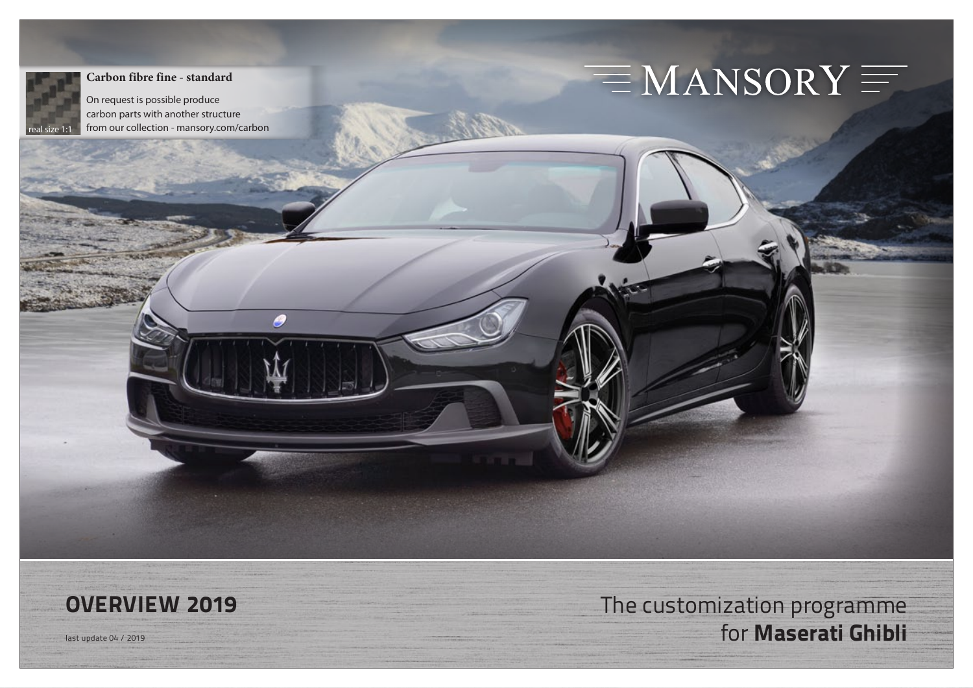

#### **Carbon fibre fine - standard**

On request is possible produce carbon parts with another structure from our collection - mansory.com/carbon

9

# $\equiv$  MANSORY  $\equiv$



**OVERVIEW 2019** The customization programme last update 04 / 2019 for **Maserati Ghibli**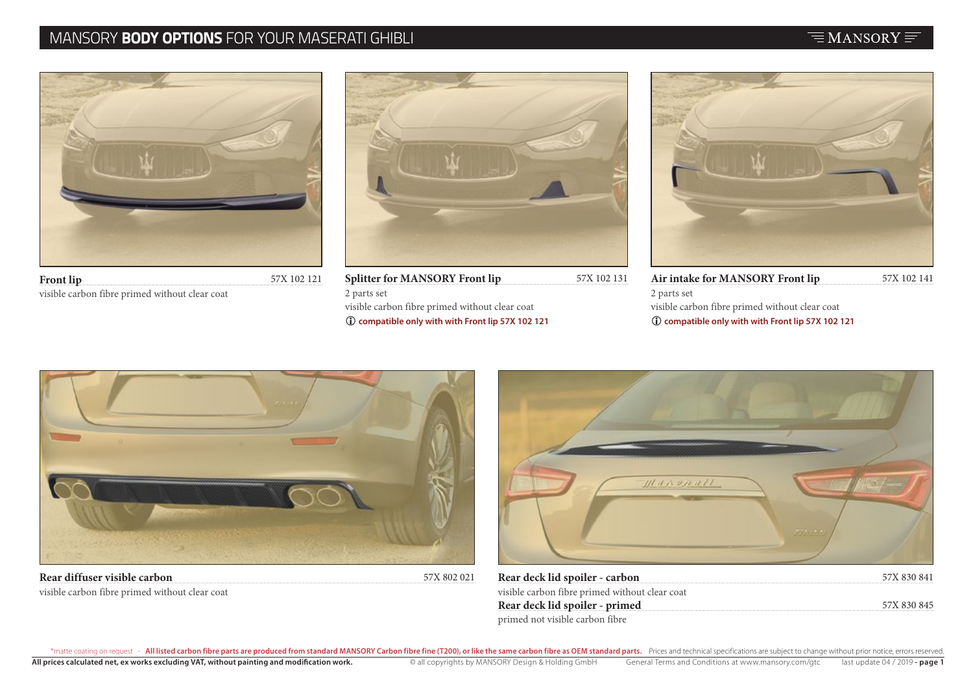# MANSORY **BODY OPTIONS** FOR YOUR MASERATI GHIBLI



| <b>Front lip</b>                               | 57X 102 121 |
|------------------------------------------------|-------------|
| visible carbon fibre primed without clear coat |             |



| <b>Splitter for MANSORY Front lip</b>               | 57X 102 13 |
|-----------------------------------------------------|------------|
| 2 parts set                                         |            |
| visible carbon fibre primed without clear coat      |            |
| (i) compatible only with with Front lip 57X 102 121 |            |



| 57X 102 131 | Air intake for MANSORY Front lip                    | 57X 102 141 |
|-------------|-----------------------------------------------------|-------------|
|             | 2 parts set                                         |             |
|             | visible carbon fibre primed without clear coat      |             |
|             | (i) compatible only with with Front lip 57X 102 121 |             |
|             |                                                     |             |



visible carbon fibre primed without clear coat



| Rear deck lid spoiler - carbon                 | 57X 830 841 |
|------------------------------------------------|-------------|
| visible carbon fibre primed without clear coat |             |
| Rear deck lid spoiler - primed                 | 57X 830 845 |
| primed not visible carbon fibre                |             |